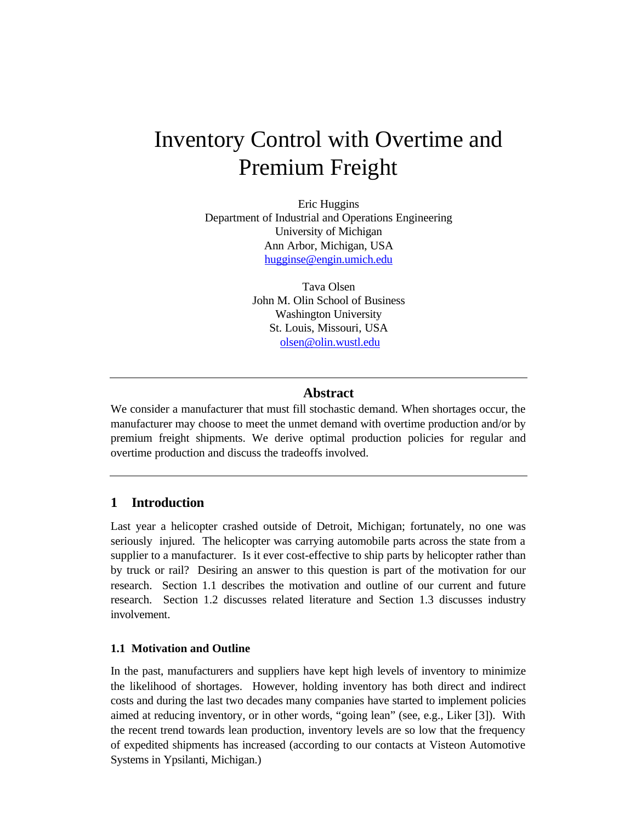# Inventory Control with Overtime and Premium Freight

Eric Huggins Department of Industrial and Operations Engineering University of Michigan Ann Arbor, Michigan, USA hugginse@engin.umich.edu

> Tava Olsen John M. Olin School of Business Washington University St. Louis, Missouri, USA olsen@olin.wustl.edu

# **Abstract**

We consider a manufacturer that must fill stochastic demand. When shortages occur, the manufacturer may choose to meet the unmet demand with overtime production and/or by premium freight shipments. We derive optimal production policies for regular and overtime production and discuss the tradeoffs involved.

# **1 Introduction**

Last year a helicopter crashed outside of Detroit, Michigan; fortunately, no one was seriously injured. The helicopter was carrying automobile parts across the state from a supplier to a manufacturer. Is it ever cost-effective to ship parts by helicopter rather than by truck or rail? Desiring an answer to this question is part of the motivation for our research. Section 1.1 describes the motivation and outline of our current and future research. Section 1.2 discusses related literature and Section 1.3 discusses industry involvement.

#### **1.1 Motivation and Outline**

In the past, manufacturers and suppliers have kept high levels of inventory to minimize the likelihood of shortages. However, holding inventory has both direct and indirect costs and during the last two decades many companies have started to implement policies aimed at reducing inventory, or in other words, "going lean" (see, e.g., Liker [3]). With the recent trend towards lean production, inventory levels are so low that the frequency of expedited shipments has increased (according to our contacts at Visteon Automotive Systems in Ypsilanti, Michigan.)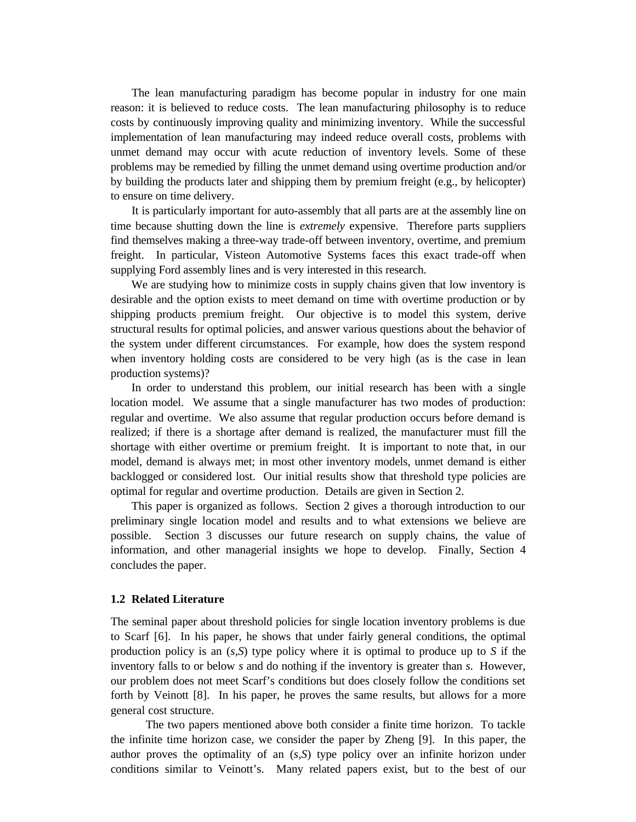The lean manufacturing paradigm has become popular in industry for one main reason: it is believed to reduce costs. The lean manufacturing philosophy is to reduce costs by continuously improving quality and minimizing inventory. While the successful implementation of lean manufacturing may indeed reduce overall costs, problems with unmet demand may occur with acute reduction of inventory levels. Some of these problems may be remedied by filling the unmet demand using overtime production and/or by building the products later and shipping them by premium freight (e.g., by helicopter) to ensure on time delivery.

It is particularly important for auto-assembly that all parts are at the assembly line on time because shutting down the line is *extremely* expensive. Therefore parts suppliers find themselves making a three-way trade-off between inventory, overtime, and premium freight. In particular, Visteon Automotive Systems faces this exact trade-off when supplying Ford assembly lines and is very interested in this research.

We are studying how to minimize costs in supply chains given that low inventory is desirable and the option exists to meet demand on time with overtime production or by shipping products premium freight. Our objective is to model this system, derive structural results for optimal policies, and answer various questions about the behavior of the system under different circumstances. For example, how does the system respond when inventory holding costs are considered to be very high (as is the case in lean production systems)?

In order to understand this problem, our initial research has been with a single location model. We assume that a single manufacturer has two modes of production: regular and overtime. We also assume that regular production occurs before demand is realized; if there is a shortage after demand is realized, the manufacturer must fill the shortage with either overtime or premium freight. It is important to note that, in our model, demand is always met; in most other inventory models, unmet demand is either backlogged or considered lost. Our initial results show that threshold type policies are optimal for regular and overtime production. Details are given in Section 2.

This paper is organized as follows. Section 2 gives a thorough introduction to our preliminary single location model and results and to what extensions we believe are possible. Section 3 discusses our future research on supply chains, the value of information, and other managerial insights we hope to develop. Finally, Section 4 concludes the paper.

#### **1.2 Related Literature**

The seminal paper about threshold policies for single location inventory problems is due to Scarf [6]. In his paper, he shows that under fairly general conditions, the optimal production policy is an (*s,S*) type policy where it is optimal to produce up to *S* if the inventory falls to or below *s* and do nothing if the inventory is greater than *s*. However, our problem does not meet Scarf's conditions but does closely follow the conditions set forth by Veinott [8]. In his paper, he proves the same results, but allows for a more general cost structure.

The two papers mentioned above both consider a finite time horizon. To tackle the infinite time horizon case, we consider the paper by Zheng [9]. In this paper, the author proves the optimality of an (*s,S*) type policy over an infinite horizon under conditions similar to Veinott's. Many related papers exist, but to the best of our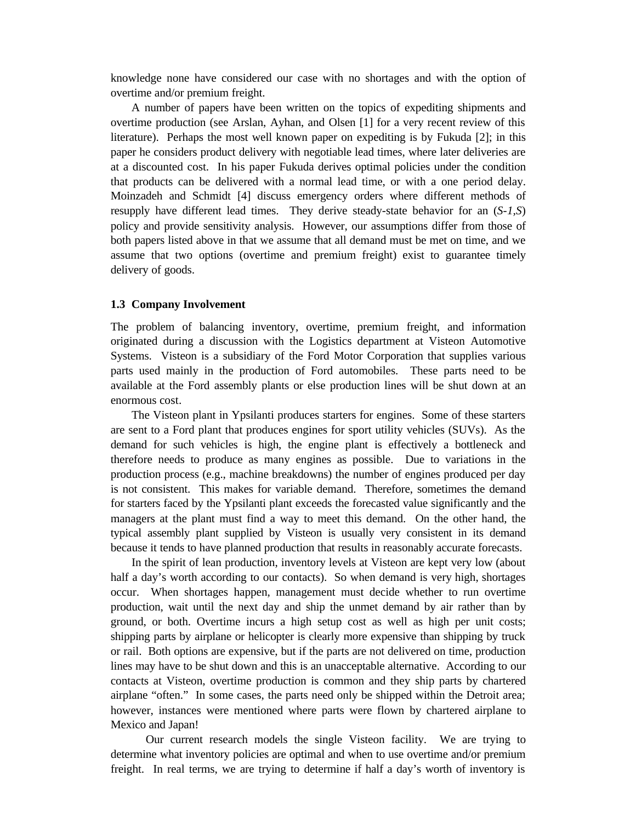knowledge none have considered our case with no shortages and with the option of overtime and/or premium freight.

A number of papers have been written on the topics of expediting shipments and overtime production (see Arslan, Ayhan, and Olsen [1] for a very recent review of this literature). Perhaps the most well known paper on expediting is by Fukuda [2]; in this paper he considers product delivery with negotiable lead times, where later deliveries are at a discounted cost. In his paper Fukuda derives optimal policies under the condition that products can be delivered with a normal lead time, or with a one period delay. Moinzadeh and Schmidt [4] discuss emergency orders where different methods of resupply have different lead times. They derive steady-state behavior for an (*S-1,S*) policy and provide sensitivity analysis. However, our assumptions differ from those of both papers listed above in that we assume that all demand must be met on time, and we assume that two options (overtime and premium freight) exist to guarantee timely delivery of goods.

#### **1.3 Company Involvement**

The problem of balancing inventory, overtime, premium freight, and information originated during a discussion with the Logistics department at Visteon Automotive Systems. Visteon is a subsidiary of the Ford Motor Corporation that supplies various parts used mainly in the production of Ford automobiles. These parts need to be available at the Ford assembly plants or else production lines will be shut down at an enormous cost.

The Visteon plant in Ypsilanti produces starters for engines. Some of these starters are sent to a Ford plant that produces engines for sport utility vehicles (SUVs). As the demand for such vehicles is high, the engine plant is effectively a bottleneck and therefore needs to produce as many engines as possible. Due to variations in the production process (e.g., machine breakdowns) the number of engines produced per day is not consistent. This makes for variable demand. Therefore, sometimes the demand for starters faced by the Ypsilanti plant exceeds the forecasted value significantly and the managers at the plant must find a way to meet this demand. On the other hand, the typical assembly plant supplied by Visteon is usually very consistent in its demand because it tends to have planned production that results in reasonably accurate forecasts.

In the spirit of lean production, inventory levels at Visteon are kept very low (about half a day's worth according to our contacts). So when demand is very high, shortages occur. When shortages happen, management must decide whether to run overtime production, wait until the next day and ship the unmet demand by air rather than by ground, or both. Overtime incurs a high setup cost as well as high per unit costs; shipping parts by airplane or helicopter is clearly more expensive than shipping by truck or rail. Both options are expensive, but if the parts are not delivered on time, production lines may have to be shut down and this is an unacceptable alternative. According to our contacts at Visteon, overtime production is common and they ship parts by chartered airplane "often." In some cases, the parts need only be shipped within the Detroit area; however, instances were mentioned where parts were flown by chartered airplane to Mexico and Japan!

Our current research models the single Visteon facility. We are trying to determine what inventory policies are optimal and when to use overtime and/or premium freight. In real terms, we are trying to determine if half a day's worth of inventory is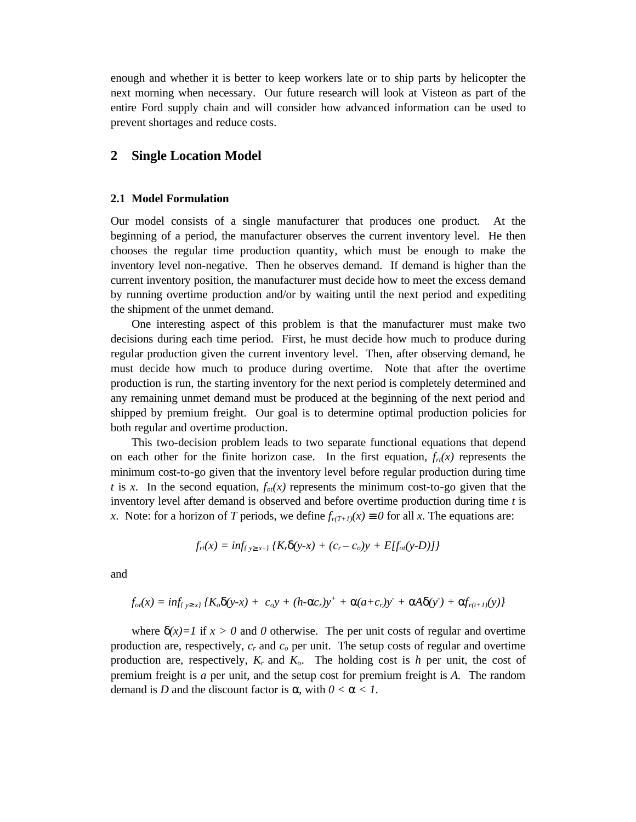enough and whether it is better to keep workers late or to ship parts by helicopter the next morning when necessary. Our future research will look at Visteon as part of the entire Ford supply chain and will consider how advanced information can be used to prevent shortages and reduce costs.

## **2 Single Location Model**

#### **2.1 Model Formulation**

Our model consists of a single manufacturer that produces one product. At the beginning of a period, the manufacturer observes the current inventory level. He then chooses the regular time production quantity, which must be enough to make the inventory level non-negative. Then he observes demand. If demand is higher than the current inventory position, the manufacturer must decide how to meet the excess demand by running overtime production and/or by waiting until the next period and expediting the shipment of the unmet demand.

One interesting aspect of this problem is that the manufacturer must make two decisions during each time period. First, he must decide how much to produce during regular production given the current inventory level. Then, after observing demand, he must decide how much to produce during overtime. Note that after the overtime production is run, the starting inventory for the next period is completely determined and any remaining unmet demand must be produced at the beginning of the next period and shipped by premium freight. Our goal is to determine optimal production policies for both regular and overtime production.

This two-decision problem leads to two separate functional equations that depend on each other for the finite horizon case. In the first equation,  $f<sub>r</sub>(x)$  represents the minimum cost-to-go given that the inventory level before regular production during time *t* is *x*. In the second equation,  $f_{of}(x)$  represents the minimum cost-to-go given that the inventory level after demand is observed and before overtime production during time *t* is *x*. Note: for a horizon of *T* periods, we define  $f_{r(T+1)}(x) \equiv 0$  for all *x*. The equations are:

$$
f_{rt}(x) = inf_{y^3x+y} \{ K_r d(y-x) + (c_r - c_o)y + E[f_{ot}(y-D)] \}
$$

and

$$
f_{oi}(x) = inf_{y \cdot s_{x}} \{ K_o d(y - x) + c_o y + (h - ac_r)y^+ + a(a + c_r)y^- + aA d(y') + af_{r(t+1)}(y) \}
$$

where  $\mathbf{d}(x)=1$  if  $x > 0$  and 0 otherwise. The per unit costs of regular and overtime production are, respectively,  $c_r$  and  $c_o$  per unit. The setup costs of regular and overtime production are, respectively,  $K_r$  and  $K_o$ . The holding cost is *h* per unit, the cost of premium freight is *a* per unit, and the setup cost for premium freight is *A.* The random demand is *D* and the discount factor is *a*, with  $0 < a < 1$ .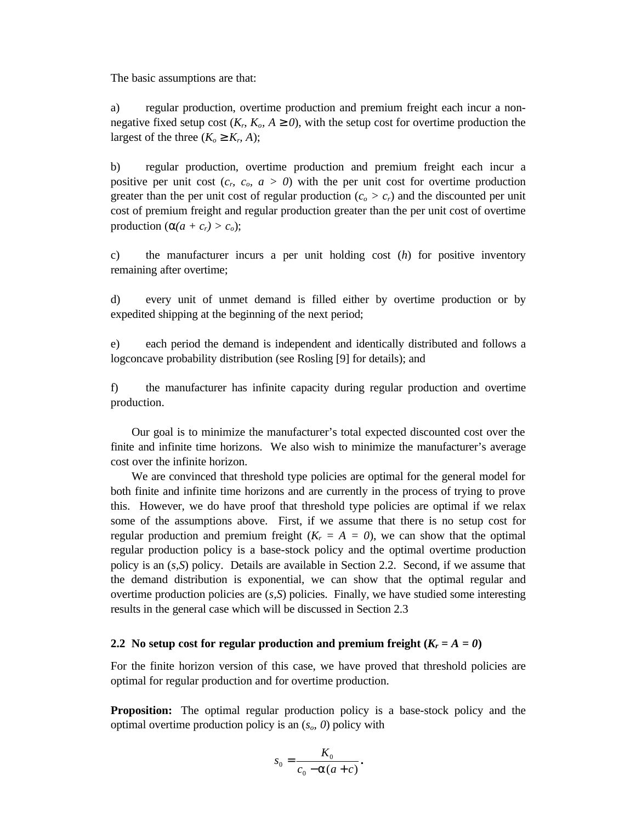The basic assumptions are that:

a) regular production, overtime production and premium freight each incur a nonnegative fixed setup cost  $(K_n, K_o, A^3, \emptyset)$ , with the setup cost for overtime production the largest of the three  $(K_o \circ K_r A)$ ;

b) regular production, overtime production and premium freight each incur a positive per unit cost  $(c_n, c_o, a > 0)$  with the per unit cost for overtime production greater than the per unit cost of regular production  $(c_o > c_r)$  and the discounted per unit cost of premium freight and regular production greater than the per unit cost of overtime production  $(a(a + c_r) > c_o);$ 

c) the manufacturer incurs a per unit holding cost (*h*) for positive inventory remaining after overtime;

d) every unit of unmet demand is filled either by overtime production or by expedited shipping at the beginning of the next period;

e) each period the demand is independent and identically distributed and follows a logconcave probability distribution (see Rosling [9] for details); and

f) the manufacturer has infinite capacity during regular production and overtime production.

Our goal is to minimize the manufacturer's total expected discounted cost over the finite and infinite time horizons. We also wish to minimize the manufacturer's average cost over the infinite horizon.

We are convinced that threshold type policies are optimal for the general model for both finite and infinite time horizons and are currently in the process of trying to prove this. However, we do have proof that threshold type policies are optimal if we relax some of the assumptions above. First, if we assume that there is no setup cost for regular production and premium freight  $(K_r = A = 0)$ , we can show that the optimal regular production policy is a base-stock policy and the optimal overtime production policy is an (*s,S*) policy. Details are available in Section 2.2. Second, if we assume that the demand distribution is exponential, we can show that the optimal regular and overtime production policies are (*s,S*) policies. Finally, we have studied some interesting results in the general case which will be discussed in Section 2.3

#### **2.2** No setup cost for regular production and premium freight  $(K_r = A = 0)$

For the finite horizon version of this case, we have proved that threshold policies are optimal for regular production and for overtime production.

**Proposition:** The optimal regular production policy is a base-stock policy and the optimal overtime production policy is an (*so*, *0*) policy with

$$
s_0 = \frac{K_0}{c_0 - \mathbf{a}(a+c)}.
$$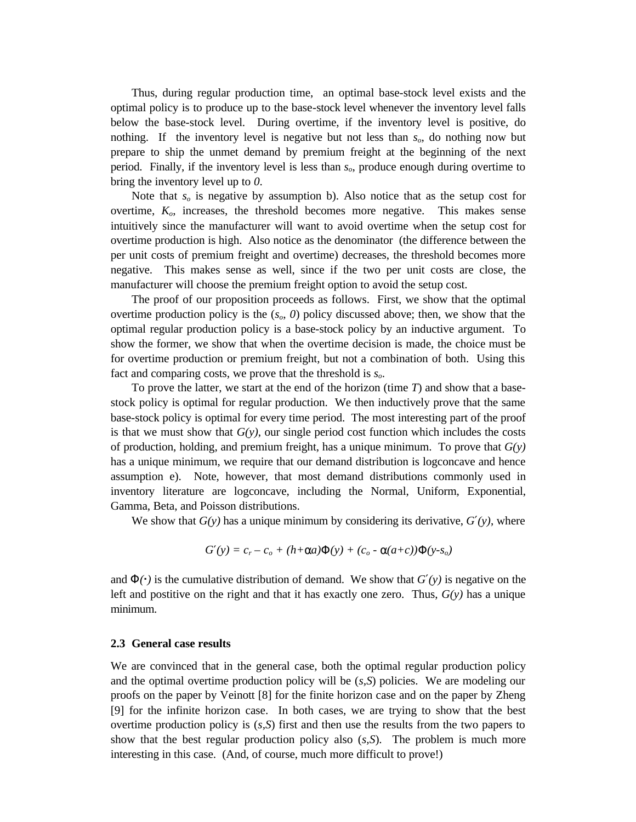Thus, during regular production time, an optimal base-stock level exists and the optimal policy is to produce up to the base-stock level whenever the inventory level falls below the base-stock level. During overtime, if the inventory level is positive, do nothing. If the inventory level is negative but not less than *so*, do nothing now but prepare to ship the unmet demand by premium freight at the beginning of the next period. Finally, if the inventory level is less than *so*, produce enough during overtime to bring the inventory level up to *0*.

Note that *so* is negative by assumption b). Also notice that as the setup cost for overtime,  $K<sub>o</sub>$ , increases, the threshold becomes more negative. This makes sense intuitively since the manufacturer will want to avoid overtime when the setup cost for overtime production is high. Also notice as the denominator (the difference between the per unit costs of premium freight and overtime) decreases, the threshold becomes more negative. This makes sense as well, since if the two per unit costs are close, the manufacturer will choose the premium freight option to avoid the setup cost.

The proof of our proposition proceeds as follows. First, we show that the optimal overtime production policy is the  $(s<sub>o</sub>, 0)$  policy discussed above; then, we show that the optimal regular production policy is a base-stock policy by an inductive argument. To show the former, we show that when the overtime decision is made, the choice must be for overtime production or premium freight, but not a combination of both. Using this fact and comparing costs, we prove that the threshold is *so*.

To prove the latter, we start at the end of the horizon (time *T*) and show that a basestock policy is optimal for regular production. We then inductively prove that the same base-stock policy is optimal for every time period. The most interesting part of the proof is that we must show that  $G(y)$ , our single period cost function which includes the costs of production, holding, and premium freight, has a unique minimum. To prove that  $G(y)$ has a unique minimum, we require that our demand distribution is logconcave and hence assumption e). Note, however, that most demand distributions commonly used in inventory literature are logconcave, including the Normal, Uniform, Exponential, Gamma, Beta, and Poisson distributions.

We show that  $G(y)$  has a unique minimum by considering its derivative,  $G\lll(y)$ , where

$$
G(y) = cr - co + (h+aa)F(y) + (co - a(a+c))F(y-so)
$$

and  $F(\cdot)$  is the cumulative distribution of demand. We show that  $G(\psi)$  is negative on the left and postitive on the right and that it has exactly one zero. Thus,  $G(y)$  has a unique minimum.

#### **2.3 General case results**

We are convinced that in the general case, both the optimal regular production policy and the optimal overtime production policy will be (*s,S*) policies. We are modeling our proofs on the paper by Veinott [8] for the finite horizon case and on the paper by Zheng [9] for the infinite horizon case. In both cases, we are trying to show that the best overtime production policy is (*s,S*) first and then use the results from the two papers to show that the best regular production policy also (*s,S*). The problem is much more interesting in this case. (And, of course, much more difficult to prove!)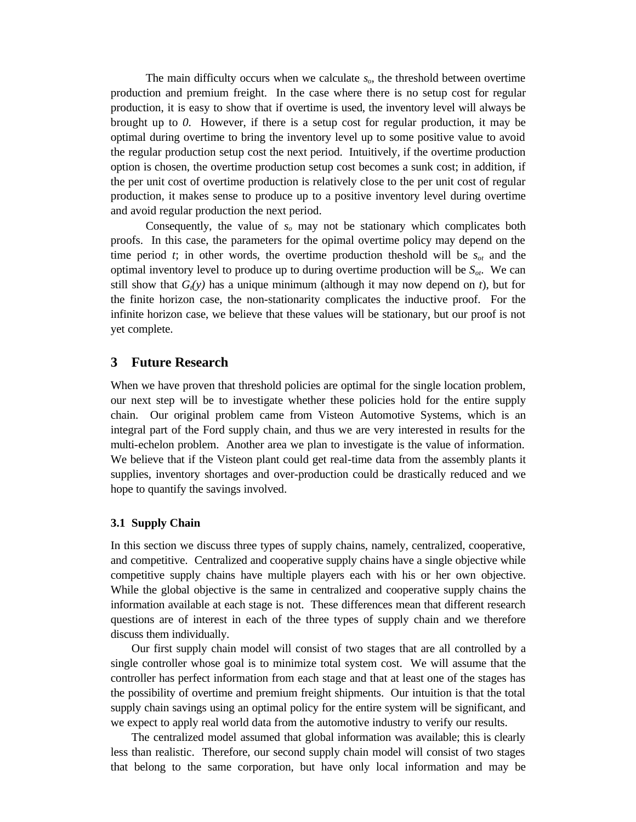The main difficulty occurs when we calculate *so*, the threshold between overtime production and premium freight. In the case where there is no setup cost for regular production, it is easy to show that if overtime is used, the inventory level will always be brought up to *0*. However, if there is a setup cost for regular production, it may be optimal during overtime to bring the inventory level up to some positive value to avoid the regular production setup cost the next period. Intuitively, if the overtime production option is chosen, the overtime production setup cost becomes a sunk cost; in addition, if the per unit cost of overtime production is relatively close to the per unit cost of regular production, it makes sense to produce up to a positive inventory level during overtime and avoid regular production the next period.

Consequently, the value of *so* may not be stationary which complicates both proofs. In this case, the parameters for the opimal overtime policy may depend on the time period *t*; in other words, the overtime production theshold will be  $s_{ot}$  and the optimal inventory level to produce up to during overtime production will be *Sot*. We can still show that  $G_t(y)$  has a unique minimum (although it may now depend on *t*), but for the finite horizon case, the non-stationarity complicates the inductive proof. For the infinite horizon case, we believe that these values will be stationary, but our proof is not yet complete.

## **3 Future Research**

When we have proven that threshold policies are optimal for the single location problem, our next step will be to investigate whether these policies hold for the entire supply chain. Our original problem came from Visteon Automotive Systems, which is an integral part of the Ford supply chain, and thus we are very interested in results for the multi-echelon problem. Another area we plan to investigate is the value of information. We believe that if the Visteon plant could get real-time data from the assembly plants it supplies, inventory shortages and over-production could be drastically reduced and we hope to quantify the savings involved.

#### **3.1 Supply Chain**

In this section we discuss three types of supply chains, namely, centralized, cooperative, and competitive. Centralized and cooperative supply chains have a single objective while competitive supply chains have multiple players each with his or her own objective. While the global objective is the same in centralized and cooperative supply chains the information available at each stage is not. These differences mean that different research questions are of interest in each of the three types of supply chain and we therefore discuss them individually.

Our first supply chain model will consist of two stages that are all controlled by a single controller whose goal is to minimize total system cost. We will assume that the controller has perfect information from each stage and that at least one of the stages has the possibility of overtime and premium freight shipments. Our intuition is that the total supply chain savings using an optimal policy for the entire system will be significant, and we expect to apply real world data from the automotive industry to verify our results.

The centralized model assumed that global information was available; this is clearly less than realistic. Therefore, our second supply chain model will consist of two stages that belong to the same corporation, but have only local information and may be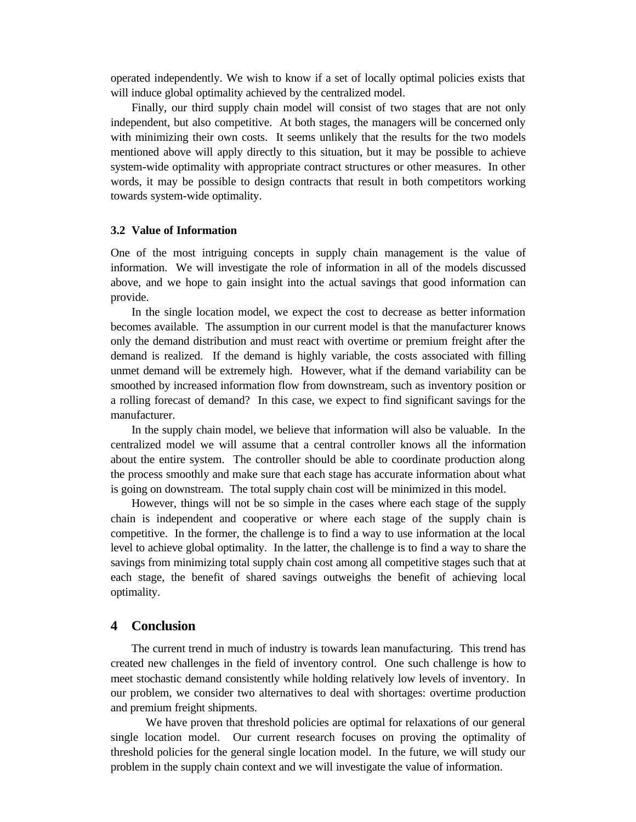operated independently. We wish to know if a set of locally optimal policies exists that will induce global optimality achieved by the centralized model.

Finally, our third supply chain model will consist of two stages that are not only independent, but also competitive. At both stages, the managers will be concerned only with minimizing their own costs. It seems unlikely that the results for the two models mentioned above will apply directly to this situation, but it may be possible to achieve system-wide optimality with appropriate contract structures or other measures. In other words, it may be possible to design contracts that result in both competitors working towards system-wide optimality.

#### **3.2 Value of Information**

One of the most intriguing concepts in supply chain management is the value of information. We will investigate the role of information in all of the models discussed above, and we hope to gain insight into the actual savings that good information can provide.

In the single location model, we expect the cost to decrease as better information becomes available. The assumption in our current model is that the manufacturer knows only the demand distribution and must react with overtime or premium freight after the demand is realized. If the demand is highly variable, the costs associated with filling unmet demand will be extremely high. However, what if the demand variability can be smoothed by increased information flow from downstream, such as inventory position or a rolling forecast of demand? In this case, we expect to find significant savings for the manufacturer.

In the supply chain model, we believe that information will also be valuable. In the centralized model we will assume that a central controller knows all the information about the entire system. The controller should be able to coordinate production along the process smoothly and make sure that each stage has accurate information about what is going on downstream. The total supply chain cost will be minimized in this model.

However, things will not be so simple in the cases where each stage of the supply chain is independent and cooperative or where each stage of the supply chain is competitive. In the former, the challenge is to find a way to use information at the local level to achieve global optimality. In the latter, the challenge is to find a way to share the savings from minimizing total supply chain cost among all competitive stages such that at each stage, the benefit of shared savings outweighs the benefit of achieving local optimality.

#### **4 Conclusion**

The current trend in much of industry is towards lean manufacturing. This trend has created new challenges in the field of inventory control. One such challenge is how to meet stochastic demand consistently while holding relatively low levels of inventory. In our problem, we consider two alternatives to deal with shortages: overtime production and premium freight shipments.

We have proven that threshold policies are optimal for relaxations of our general single location model. Our current research focuses on proving the optimality of threshold policies for the general single location model. In the future, we will study our problem in the supply chain context and we will investigate the value of information.